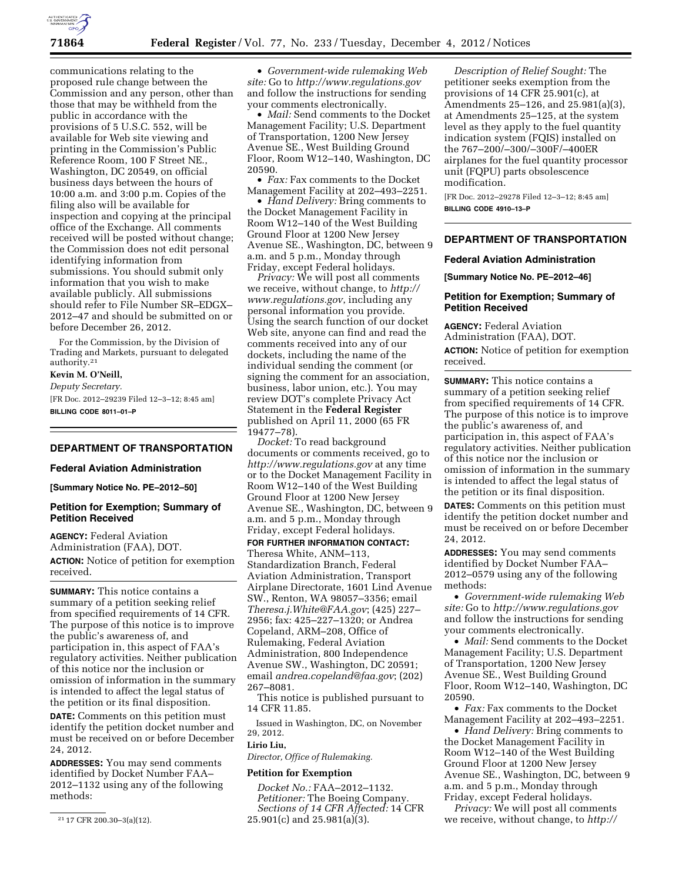

communications relating to the proposed rule change between the Commission and any person, other than those that may be withheld from the public in accordance with the provisions of 5 U.S.C. 552, will be available for Web site viewing and printing in the Commission's Public Reference Room, 100 F Street NE., Washington, DC 20549, on official business days between the hours of 10:00 a.m. and 3:00 p.m. Copies of the filing also will be available for inspection and copying at the principal office of the Exchange. All comments received will be posted without change; the Commission does not edit personal identifying information from submissions. You should submit only information that you wish to make available publicly. All submissions should refer to File Number SR–EDGX– 2012–47 and should be submitted on or before December 26, 2012.

For the Commission, by the Division of Trading and Markets, pursuant to delegated authority.21

# **Kevin M. O'Neill,**

*Deputy Secretary.*  [FR Doc. 2012–29239 Filed 12–3–12; 8:45 am] **BILLING CODE 8011–01–P** 

# **DEPARTMENT OF TRANSPORTATION**

#### **Federal Aviation Administration**

**[Summary Notice No. PE–2012–50]** 

### **Petition for Exemption; Summary of Petition Received**

**AGENCY:** Federal Aviation Administration (FAA), DOT. **ACTION:** Notice of petition for exemption received.

**SUMMARY:** This notice contains a summary of a petition seeking relief from specified requirements of 14 CFR. The purpose of this notice is to improve the public's awareness of, and participation in, this aspect of FAA's regulatory activities. Neither publication of this notice nor the inclusion or omission of information in the summary is intended to affect the legal status of the petition or its final disposition.

**DATE:** Comments on this petition must identify the petition docket number and must be received on or before December 24, 2012.

**ADDRESSES:** You may send comments identified by Docket Number FAA– 2012–1132 using any of the following methods:

• *Government-wide rulemaking Web site:* Go to *<http://www.regulations.gov>*  and follow the instructions for sending your comments electronically.

• *Mail:* Send comments to the Docket Management Facility; U.S. Department of Transportation, 1200 New Jersey Avenue SE., West Building Ground Floor, Room W12–140, Washington, DC 20590.

• *Fax:* Fax comments to the Docket Management Facility at 202–493–2251.

• *Hand Delivery:* Bring comments to the Docket Management Facility in Room W12–140 of the West Building Ground Floor at 1200 New Jersey Avenue SE., Washington, DC, between 9 a.m. and 5 p.m., Monday through Friday, except Federal holidays.

*Privacy:* We will post all comments we receive, without change, to *[http://](http://www.regulations.gov)  [www.regulations.gov](http://www.regulations.gov)*, including any personal information you provide. Using the search function of our docket Web site, anyone can find and read the comments received into any of our dockets, including the name of the individual sending the comment (or signing the comment for an association, business, labor union, etc.). You may review DOT's complete Privacy Act Statement in the **Federal Register**  published on April 11, 2000 (65 FR 19477–78).

*Docket:* To read background documents or comments received, go to *<http://www.regulations.gov>* at any time or to the Docket Management Facility in Room W12–140 of the West Building Ground Floor at 1200 New Jersey Avenue SE., Washington, DC, between 9 a.m. and 5 p.m., Monday through Friday, except Federal holidays.

**FOR FURTHER INFORMATION CONTACT:**  Theresa White, ANM–113, Standardization Branch, Federal Aviation Administration, Transport Airplane Directorate, 1601 Lind Avenue SW., Renton, WA 98057–3356; email *[Theresa.j.White@FAA.gov](mailto:Theresa.j.White@FAA.gov)*; (425) 227– 2956; fax: 425–227–1320; or Andrea Copeland, ARM–208, Office of Rulemaking, Federal Aviation Administration, 800 Independence Avenue SW., Washington, DC 20591; email *[andrea.copeland@faa.gov](mailto:andrea.copeland@faa.gov)*; (202) 267–8081.

This notice is published pursuant to 14 CFR 11.85.

Issued in Washington, DC, on November 29, 2012.

#### **Lirio Liu,**

*Director, Office of Rulemaking.* 

#### **Petition for Exemption**

*Docket No.:* FAA–2012–1132. *Petitioner:* The Boeing Company. *Sections of 14 CFR Affected:* 14 CFR 25.901(c) and 25.981(a)(3).

*Description of Relief Sought:* The petitioner seeks exemption from the provisions of 14 CFR 25.901(c), at Amendments 25–126, and 25.981(a)(3), at Amendments 25–125, at the system level as they apply to the fuel quantity indication system (FQIS) installed on the 767–200/–300/–300F/–400ER airplanes for the fuel quantity processor unit (FQPU) parts obsolescence modification.

[FR Doc. 2012–29278 Filed 12–3–12; 8:45 am] **BILLING CODE 4910–13–P** 

# **DEPARTMENT OF TRANSPORTATION**

#### **Federal Aviation Administration**

**[Summary Notice No. PE–2012–46]** 

## **Petition for Exemption; Summary of Petition Received**

**AGENCY:** Federal Aviation Administration (FAA), DOT. **ACTION:** Notice of petition for exemption received.

**SUMMARY:** This notice contains a summary of a petition seeking relief from specified requirements of 14 CFR. The purpose of this notice is to improve the public's awareness of, and participation in, this aspect of FAA's regulatory activities. Neither publication of this notice nor the inclusion or omission of information in the summary is intended to affect the legal status of the petition or its final disposition.

**DATES:** Comments on this petition must identify the petition docket number and must be received on or before December 24, 2012.

**ADDRESSES:** You may send comments identified by Docket Number FAA– 2012–0579 using any of the following methods:

• *Government-wide rulemaking Web site:* Go to *<http://www.regulations.gov>*  and follow the instructions for sending your comments electronically.

• *Mail:* Send comments to the Docket Management Facility; U.S. Department of Transportation, 1200 New Jersey Avenue SE., West Building Ground Floor, Room W12–140, Washington, DC 20590.

• *Fax:* Fax comments to the Docket Management Facility at 202–493–2251.

• *Hand Delivery:* Bring comments to the Docket Management Facility in Room W12–140 of the West Building Ground Floor at 1200 New Jersey Avenue SE., Washington, DC, between 9 a.m. and 5 p.m., Monday through Friday, except Federal holidays.

*Privacy:* We will post all comments we receive, without change, to *http://* 

<sup>21</sup> 17 CFR 200.30–3(a)(12).